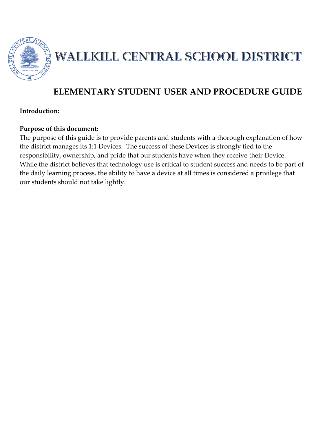

WALLKILL CENTRAL SCHOOL DISTRICT

## **ELEMENTARY STUDENT USER AND PROCEDURE GUIDE**

#### **Introduction:**

#### **Purpose of this document:**

The purpose of this guide is to provide parents and students with a thorough explanation of how the district manages its 1:1 Devices. The success of these Devices is strongly tied to the responsibility, ownership, and pride that our students have when they receive their Device. While the district believes that technology use is critical to student success and needs to be part of the daily learning process, the ability to have a device at all times is considered a privilege that our students should not take lightly.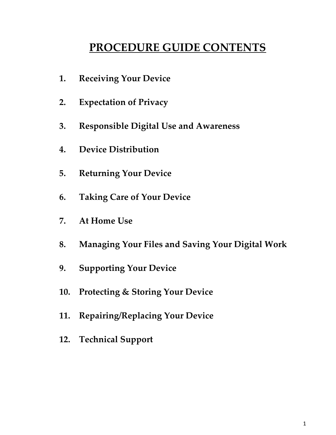# **PROCEDURE GUIDE CONTENTS**

- **1. Receiving Your Device**
- **2. Expectation of Privacy**
- **3. Responsible Digital Use and Awareness**
- **4. Device Distribution**
- **5. Returning Your Device**
- **6. Taking Care of Your Device**
- **7. At Home Use**
- **8. Managing Your Files and Saving Your Digital Work**
- **9. Supporting Your Device**
- **10. Protecting & Storing Your Device**
- **11. Repairing/Replacing Your Device**
- **12. Technical Support**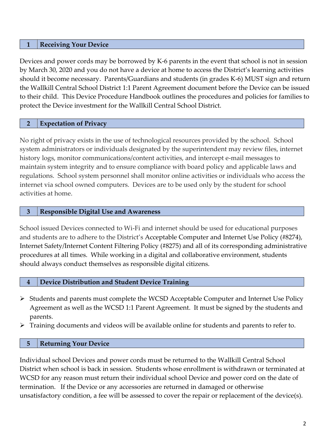#### **1 Receiving Your Device**

Devices and power cords may be borrowed by K-6 parents in the event that school is not in session by March 30, 2020 and you do not have a device at home to access the District's learning activities should it become necessary. Parents/Guardians and students (in grades K-6) MUST sign and return the Wallkill Central School District 1:1 Parent Agreement document before the Device can be issued to their child. This Device Procedure Handbook outlines the procedures and policies for families to protect the Device investment for the Wallkill Central School District.

#### **2 Expectation of Privacy**

No right of privacy exists in the use of technological resources provided by the school. School system administrators or individuals designated by the superintendent may review files, internet history logs, monitor communications/content activities, and intercept e-mail messages to maintain system integrity and to ensure compliance with board policy and applicable laws and regulations. School system personnel shall monitor online activities or individuals who access the internet via school owned computers. Devices are to be used only by the student for school activities at home.

#### **3 Responsible Digital Use and Awareness**

School issued Devices connected to Wi-Fi and internet should be used for educational purposes and students are to adhere to the District's Acceptable Computer and Internet Use Policy (#8274), Internet Safety/Internet Content Filtering Policy (#8275) and all of its corresponding administrative procedures at all times. While working in a digital and collaborative environment, students should always conduct themselves as responsible digital citizens.

#### **4 Device Distribution and Student Device Training**

- $\triangleright$  Students and parents must complete the WCSD Acceptable Computer and Internet Use Policy Agreement as well as the WCSD 1:1 Parent Agreement. It must be signed by the students and parents.
- $\triangleright$  Training documents and videos will be available online for students and parents to refer to.

#### **5 Returning Your Device**

Individual school Devices and power cords must be returned to the Wallkill Central School District when school is back in session. Students whose enrollment is withdrawn or terminated at WCSD for any reason must return their individual school Device and power cord on the date of termination. If the Device or any accessories are returned in damaged or otherwise unsatisfactory condition, a fee will be assessed to cover the repair or replacement of the device(s).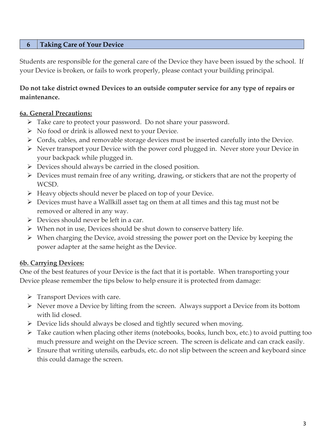## **6 Taking Care of Your Device**

Students are responsible for the general care of the Device they have been issued by the school. If your Device is broken, or fails to work properly, please contact your building principal.

## **Do not take district owned Devices to an outside computer service for any type of repairs or maintenance.**

#### **6a. General Precautions:**

- Take care to protect your password. Do not share your password.
- $\triangleright$  No food or drink is allowed next to your Device.
- $\triangleright$  Cords, cables, and removable storage devices must be inserted carefully into the Device.
- Never transport your Device with the power cord plugged in. Never store your Device in your backpack while plugged in.
- $\triangleright$  Devices should always be carried in the closed position.
- $\triangleright$  Devices must remain free of any writing, drawing, or stickers that are not the property of WCSD.
- $\triangleright$  Heavy objects should never be placed on top of your Device.
- $\triangleright$  Devices must have a Wallkill asset tag on them at all times and this tag must not be removed or altered in any way.
- $\triangleright$  Devices should never be left in a car.
- $\triangleright$  When not in use, Devices should be shut down to conserve battery life.
- When charging the Device, avoid stressing the power port on the Device by keeping the power adapter at the same height as the Device.

#### **6b. Carrying Devices:**

One of the best features of your Device is the fact that it is portable. When transporting your Device please remember the tips below to help ensure it is protected from damage:

- $\triangleright$  Transport Devices with care.
- $\triangleright$  Never move a Device by lifting from the screen. Always support a Device from its bottom with lid closed.
- $\triangleright$  Device lids should always be closed and tightly secured when moving.
- $\triangleright$  Take caution when placing other items (notebooks, books, lunch box, etc.) to avoid putting too much pressure and weight on the Device screen. The screen is delicate and can crack easily.
- $\triangleright$  Ensure that writing utensils, earbuds, etc. do not slip between the screen and keyboard since this could damage the screen.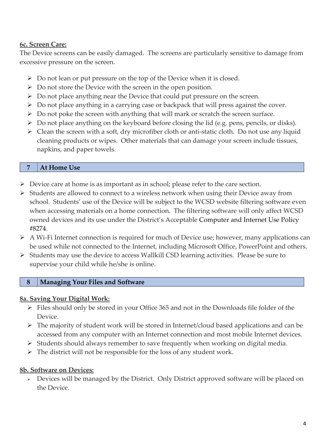## **6c. Screen Care:**

The Device screens can be easily damaged. The screens are particularly sensitive to damage from excessive pressure on the screen.

- $\triangleright$  Do not lean or put pressure on the top of the Device when it is closed.
- $\triangleright$  Do not store the Device with the screen in the open position.
- Do not place anything near the Device that could put pressure on the screen.
- $\triangleright$  Do not place anything in a carrying case or backpack that will press against the cover.
- $\triangleright$  Do not poke the screen with anything that will mark or scratch the screen surface.
- Do not place anything on the keyboard before closing the lid (e.g. pens, pencils, or disks).
- $\triangleright$  Clean the screen with a soft, dry microfiber cloth or anti-static cloth. Do not use any liquid cleaning products or wipes. Other materials that can damage your screen include tissues, napkins, and paper towels.

## **7 At Home Use**

- $\triangleright$  Device care at home is as important as in school; please refer to the care section.
- $\triangleright$  Students are allowed to connect to a wireless network when using their Device away from school. Students' use of the Device will be subject to the WCSD website filtering software even when accessing materials on a home connection. The filtering software will only affect WCSD owned devices and its use under the District's Acceptable Computer and Internet Use Policy #8274.
- $\triangleright$  A Wi-Fi Internet connection is required for much of Device use; however, many applications can be used while not connected to the Internet, including Microsoft Office, PowerPoint and others.
- $\triangleright$  Students may use the device to access Wallkill CSD learning activities. Please be sure to supervise your child while he/she is online.

## **8 Managing Your Files and Software**

## **8a. Saving Your Digital Work:**

- $\triangleright$  Files should only be stored in your Office 365 and not in the Downloads file folder of the Device.
- $\triangleright$  The majority of student work will be stored in Internet/cloud based applications and can be accessed from any computer with an Internet connection and most mobile Internet devices.
- $\triangleright$  Students should always remember to save frequently when working on digital media.
- $\triangleright$  The district will not be responsible for the loss of any student work.

## **8b. Software on Devices:**

 Devices will be managed by the District. Only District approved software will be placed on the Device.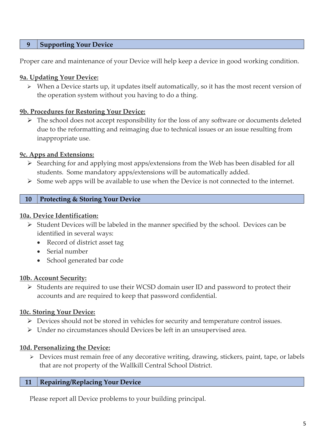## **9 Supporting Your Device**

Proper care and maintenance of your Device will help keep a device in good working condition.

#### **9a. Updating Your Device:**

 $\triangleright$  When a Device starts up, it updates itself automatically, so it has the most recent version of the operation system without you having to do a thing.

#### **9b. Procedures for Restoring Your Device:**

 $\triangleright$  The school does not accept responsibility for the loss of any software or documents deleted due to the reformatting and reimaging due to technical issues or an issue resulting from inappropriate use.

## **9c. Apps and Extensions:**

- $\triangleright$  Searching for and applying most apps/extensions from the Web has been disabled for all students. Some mandatory apps/extensions will be automatically added.
- $\triangleright$  Some web apps will be available to use when the Device is not connected to the internet.

## **10 Protecting & Storing Your Device**

#### **10a. Device Identification:**

- $\triangleright$  Student Devices will be labeled in the manner specified by the school. Devices can be identified in several ways:
	- Record of district asset tag
	- Serial number
	- School generated bar code

#### **10b. Account Security:**

 Students are required to use their WCSD domain user ID and password to protect their accounts and are required to keep that password confidential.

#### **10c. Storing Your Device:**

- Devices should not be stored in vehicles for security and temperature control issues.
- $\triangleright$  Under no circumstances should Devices be left in an unsupervised area.

#### **10d. Personalizing the Device:**

 $\triangleright$  Devices must remain free of any decorative writing, drawing, stickers, paint, tape, or labels that are not property of the Wallkill Central School District.

#### **11 Repairing/Replacing Your Device**

Please report all Device problems to your building principal.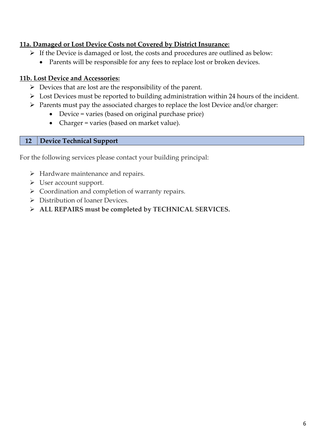## **11a. Damaged or Lost Device Costs not Covered by District Insurance:**

- $\triangleright$  If the Device is damaged or lost, the costs and procedures are outlined as below:
	- Parents will be responsible for any fees to replace lost or broken devices.

## **11b. Lost Device and Accessories:**

- $\triangleright$  Devices that are lost are the responsibility of the parent.
- $\triangleright$  Lost Devices must be reported to building administration within 24 hours of the incident.
- $\triangleright$  Parents must pay the associated charges to replace the lost Device and/or charger:
	- Device = varies (based on original purchase price)
	- Charger = varies (based on market value).

## **12 Device Technical Support**

For the following services please contact your building principal:

- $\triangleright$  Hardware maintenance and repairs.
- User account support.
- $\triangleright$  Coordination and completion of warranty repairs.
- ▶ Distribution of loaner Devices.
- **ALL REPAIRS must be completed by TECHNICAL SERVICES.**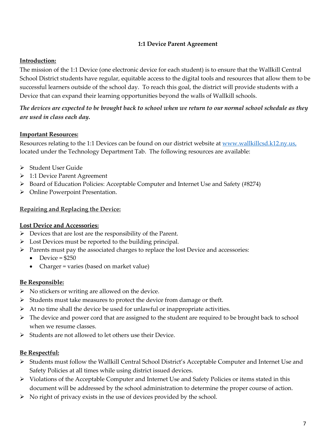#### **1:1 Device Parent Agreement**

#### **Introduction:**

The mission of the 1:1 Device (one electronic device for each student) is to ensure that the Wallkill Central School District students have regular, equitable access to the digital tools and resources that allow them to be successful learners outside of the school day. To reach this goal, the district will provide students with a Device that can expand their learning opportunities beyond the walls of Wallkill schools.

*The devices are expected to be brought back to school when we return to our normal school schedule as they are used in class each day.*

#### **Important Resources:**

Resources relating to the 1:1 Devices can be found on our district website at [www.wallkillcsd.k12.ny.us,](http://www.wallkillcsd.k12.ny.us/) located under the Technology Department Tab. The following resources are available:

- Student User Guide
- 1:1 Device Parent Agreement
- Board of Education Policies: Acceptable Computer and Internet Use and Safety (#8274)
- Online Powerpoint Presentation.

#### **Repairing and Replacing the Device:**

#### **Lost Device and Accessories:**

- $\triangleright$  Devices that are lost are the responsibility of the Parent.
- > Lost Devices must be reported to the building principal.
- $\triangleright$  Parents must pay the associated charges to replace the lost Device and accessories:
	- Device  $= $250$
	- Charger = varies (based on market value)

#### **Be Responsible:**

- $\triangleright$  No stickers or writing are allowed on the device.
- $\triangleright$  Students must take measures to protect the device from damage or theft.
- $\triangleright$  At no time shall the device be used for unlawful or inappropriate activities.
- $\triangleright$  The device and power cord that are assigned to the student are required to be brought back to school when we resume classes.
- $\triangleright$  Students are not allowed to let others use their Device.

#### **Be Respectful:**

- > Students must follow the Wallkill Central School District's Acceptable Computer and Internet Use and Safety Policies at all times while using district issued devices.
- $\triangleright$  Violations of the Acceptable Computer and Internet Use and Safety Policies or items stated in this document will be addressed by the school administration to determine the proper course of action.
- $\triangleright$  No right of privacy exists in the use of devices provided by the school.